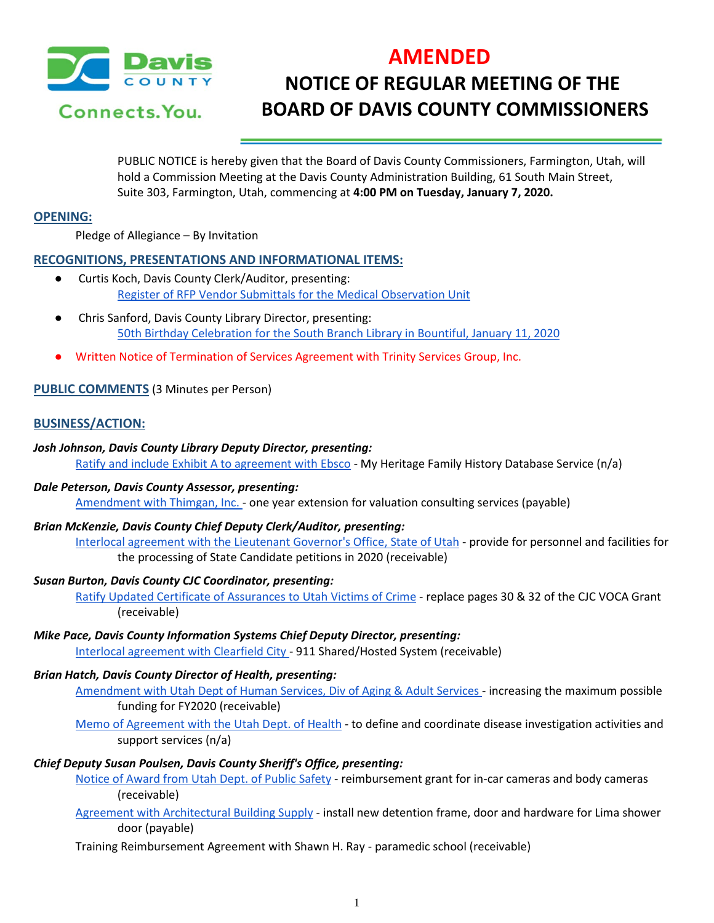

# **AMENDED NOTICE OF REGULAR MEETING OF THE BOARD OF DAVIS COUNTY COMMISSIONERS**

PUBLIC NOTICE is hereby given that the Board of Davis County Commissioners, Farmington, Utah, will hold a Commission Meeting at the Davis County Administration Building, 61 South Main Street, Suite 303, Farmington, Utah, commencing at **4:00 PM on Tuesday, January 7, 2020.**

## **OPENING:**

Pledge of Allegiance – By Invitation

## **RECOGNITIONS, PRESENTATIONS AND INFORMATIONAL ITEMS:**

- Curtis Koch, Davis County Clerk/Auditor, presenting: [Register of RFP Vendor Submittals for the Medical Observation Unit](https://drive.google.com/a/co.davis.ut.us/file/d/10Sk9dCUXhbIjh4OfKQTQins5mAW4Wsy1/view?usp=drivesdk)
- Chris Sanford, Davis County Library Director, presenting: [50th Birthday Celebration for the South Branch Library in Bountiful, January 11, 2020](https://drive.google.com/a/co.davis.ut.us/file/d/1Bbtb1BE2v8CYaPtW6qRM5l45kgt1VxyP/view?usp=drivesdk)
- Written Notice of Termination of Services Agreement with Trinity Services Group, Inc.

# **PUBLIC COMMENTS** (3 Minutes per Person)

# **BUSINESS/ACTION:**

## *Josh Johnson, Davis County Library Deputy Director, presenting:*

[Ratify and include Exhibit A to agreement with Ebsco](https://drive.google.com/a/co.davis.ut.us/file/d/1UGCd6k9wxadPRvjTSIj5HpRuhJK24sH6/view?usp=drivesdk) - My Heritage Family History Database Service (n/a)

## *Dale Peterson, Davis County Assessor, presenting:*

[Amendment with Thimgan, Inc. -](https://drive.google.com/a/co.davis.ut.us/file/d/10251_MQewrOm4d86eE2KPiH-hoWMYnXm/view?usp=drivesdk) one year extension for valuation consulting services (payable)

## *Brian McKenzie, Davis County Chief Deputy Clerk/Auditor, presenting:*

[Interlocal agreement with the Lieutenant Governor's Office, State of Utah](https://drive.google.com/a/co.davis.ut.us/file/d/16DtHMpLKPdnKZWJs5wBg_wVSOkQCxIwR/view?usp=drivesdk) - provide for personnel and facilities for the processing of State Candidate petitions in 2020 (receivable)

## *Susan Burton, Davis County CJC Coordinator, presenting:*

[Ratify Updated Certificate of Assurances to Utah Victims of Crime](https://drive.google.com/a/co.davis.ut.us/file/d/1iog29ZC-bcwImi3EvToEpRzUY-b0jFzL/view?usp=drivesdk) - replace pages 30 & 32 of the CJC VOCA Grant (receivable)

## *Mike Pace, Davis County Information Systems Chief Deputy Director, presenting:*

[Interlocal agreement with Clearfield City -](https://drive.google.com/a/co.davis.ut.us/file/d/1rXzylF1RLcT-2AvT8rDVTPl3eVeZAc84/view?usp=drivesdk) 911 Shared/Hosted System (receivable)

## *Brian Hatch, Davis County Director of Health, presenting:*

[Amendment with Utah Dept of Human Services, Div of Aging & Adult Services -](https://drive.google.com/a/co.davis.ut.us/file/d/1uBEzCbKOkFZBiSYT9UryTByjU6hCegEC/view?usp=drivesdk) increasing the maximum possible funding for FY2020 (receivable)

[Memo of Agreement with the Utah Dept. of Health](https://drive.google.com/a/co.davis.ut.us/file/d/1Vqun15cmp8d0hDI3kJvHBKhvTw_28xBR/view?usp=drivesdk) - to define and coordinate disease investigation activities and support services (n/a)

## *Chief Deputy Susan Poulsen, Davis County Sheriff's Office, presenting:*

[Notice of Award from Utah Dept. of Public Safety](https://drive.google.com/a/co.davis.ut.us/file/d/1sLFASs9BhZCKtV7SbJaO_Kx45bv8oGRz/view?usp=drivesdk) - reimbursement grant for in-car cameras and body cameras (receivable)

[Agreement with Architectural Building Supply](https://drive.google.com/a/co.davis.ut.us/file/d/18JOmaKmCD5H0tMgSlpI0iQQOPYKSDNMn/view?usp=drivesdk) - install new detention frame, door and hardware for Lima shower door (payable)

Training Reimbursement Agreement with Shawn H. Ray - paramedic school (receivable)